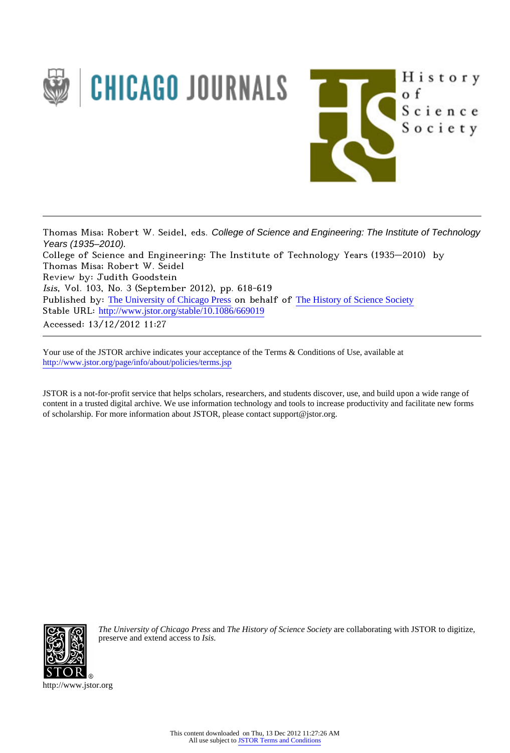

Thomas Misa; Robert W. Seidel, eds. College of Science and Engineering: The Institute of Technology Years (1935–2010). College of Science and Engineering: The Institute of Technology Years (1935–2010) by Thomas Misa; Robert W. Seidel Review by: Judith Goodstein Isis, Vol. 103, No. 3 (September 2012), pp. 618-619 Published by: [The University of Chicago Press](http://www.jstor.org/action/showPublisher?publisherCode=ucpress) on behalf of [The History of Science Society](http://www.jstor.org/action/showPublisher?publisherCode=hss) Stable URL: http://www.jstor.org/stable/10.1086/669019 Accessed: 13/12/2012 11:27

Your use of the JSTOR archive indicates your acceptance of the Terms & Conditions of Use, available at <http://www.jstor.org/page/info/about/policies/terms.jsp>

JSTOR is a not-for-profit service that helps scholars, researchers, and students discover, use, and build upon a wide range of content in a trusted digital archive. We use information technology and tools to increase productivity and facilitate new forms of scholarship. For more information about JSTOR, please contact support@jstor.org.



*The University of Chicago Press* and *The History of Science Society* are collaborating with JSTOR to digitize, preserve and extend access to *Isis.*

http://www.jstor.org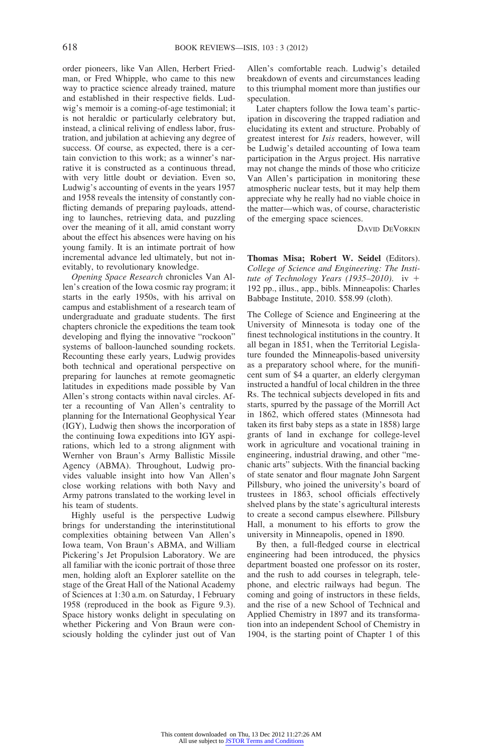order pioneers, like Van Allen, Herbert Friedman, or Fred Whipple, who came to this new way to practice science already trained, mature and established in their respective fields. Ludwig's memoir is a coming-of-age testimonial; it is not heraldic or particularly celebratory but, instead, a clinical reliving of endless labor, frustration, and jubilation at achieving any degree of success. Of course, as expected, there is a certain conviction to this work; as a winner's narrative it is constructed as a continuous thread, with very little doubt or deviation. Even so, Ludwig's accounting of events in the years 1957 and 1958 reveals the intensity of constantly conflicting demands of preparing payloads, attending to launches, retrieving data, and puzzling over the meaning of it all, amid constant worry about the effect his absences were having on his young family. It is an intimate portrait of how incremental advance led ultimately, but not inevitably, to revolutionary knowledge.

*Opening Space Research* chronicles Van Allen's creation of the Iowa cosmic ray program; it starts in the early 1950s, with his arrival on campus and establishment of a research team of undergraduate and graduate students. The first chapters chronicle the expeditions the team took developing and flying the innovative "rockoon" systems of balloon-launched sounding rockets. Recounting these early years, Ludwig provides both technical and operational perspective on preparing for launches at remote geomagnetic latitudes in expeditions made possible by Van Allen's strong contacts within naval circles. After a recounting of Van Allen's centrality to planning for the International Geophysical Year (IGY), Ludwig then shows the incorporation of the continuing Iowa expeditions into IGY aspirations, which led to a strong alignment with Wernher von Braun's Army Ballistic Missile Agency (ABMA). Throughout, Ludwig provides valuable insight into how Van Allen's close working relations with both Navy and Army patrons translated to the working level in his team of students.

Highly useful is the perspective Ludwig brings for understanding the interinstitutional complexities obtaining between Van Allen's Iowa team, Von Braun's ABMA, and William Pickering's Jet Propulsion Laboratory. We are all familiar with the iconic portrait of those three men, holding aloft an Explorer satellite on the stage of the Great Hall of the National Academy of Sciences at 1:30 a.m. on Saturday, 1 February 1958 (reproduced in the book as Figure 9.3). Space history wonks delight in speculating on whether Pickering and Von Braun were consciously holding the cylinder just out of Van Allen's comfortable reach. Ludwig's detailed breakdown of events and circumstances leading to this triumphal moment more than justifies our speculation.

Later chapters follow the Iowa team's participation in discovering the trapped radiation and elucidating its extent and structure. Probably of greatest interest for *Isis* readers, however, will be Ludwig's detailed accounting of Iowa team participation in the Argus project. His narrative may not change the minds of those who criticize Van Allen's participation in monitoring these atmospheric nuclear tests, but it may help them appreciate why he really had no viable choice in the matter—which was, of course, characteristic of the emerging space sciences.

DAVID DEVORKIN

**Thomas Misa; Robert W. Seidel** (Editors). *College of Science and Engineering: The Institute of Technology Years (1935–2010)*. iv 192 pp., illus., app., bibls. Minneapolis: Charles Babbage Institute, 2010. \$58.99 (cloth).

The College of Science and Engineering at the University of Minnesota is today one of the finest technological institutions in the country. It all began in 1851, when the Territorial Legislature founded the Minneapolis-based university as a preparatory school where, for the munificent sum of \$4 a quarter, an elderly clergyman instructed a handful of local children in the three Rs. The technical subjects developed in fits and starts, spurred by the passage of the Morrill Act in 1862, which offered states (Minnesota had taken its first baby steps as a state in 1858) large grants of land in exchange for college-level work in agriculture and vocational training in engineering, industrial drawing, and other "mechanic arts" subjects. With the financial backing of state senator and flour magnate John Sargent Pillsbury, who joined the university's board of trustees in 1863, school officials effectively shelved plans by the state's agricultural interests to create a second campus elsewhere. Pillsbury Hall, a monument to his efforts to grow the university in Minneapolis, opened in 1890.

By then, a full-fledged course in electrical engineering had been introduced, the physics department boasted one professor on its roster, and the rush to add courses in telegraph, telephone, and electric railways had begun. The coming and going of instructors in these fields, and the rise of a new School of Technical and Applied Chemistry in 1897 and its transformation into an independent School of Chemistry in 1904, is the starting point of Chapter 1 of this